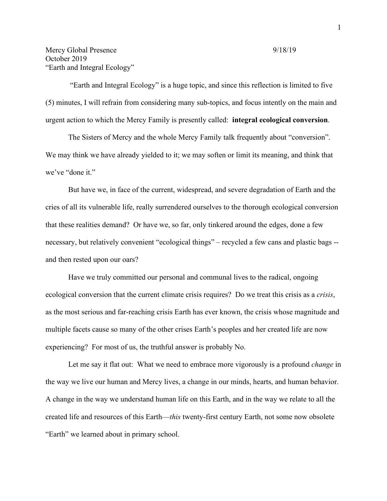"Earth and Integral Ecology" is a huge topic, and since this reflection is limited to five (5) minutes, I will refrain from considering many sub-topics, and focus intently on the main and urgent action to which the Mercy Family is presently called: **integral ecological conversion**.

The Sisters of Mercy and the whole Mercy Family talk frequently about "conversion". We may think we have already yielded to it; we may soften or limit its meaning, and think that we've "done it."

But have we, in face of the current, widespread, and severe degradation of Earth and the cries of all its vulnerable life, really surrendered ourselves to the thorough ecological conversion that these realities demand? Or have we, so far, only tinkered around the edges, done a few necessary, but relatively convenient "ecological things" – recycled a few cans and plastic bags - and then rested upon our oars?

Have we truly committed our personal and communal lives to the radical, ongoing ecological conversion that the current climate crisis requires? Do we treat this crisis as a *crisis*, as the most serious and far-reaching crisis Earth has ever known, the crisis whose magnitude and multiple facets cause so many of the other crises Earth's peoples and her created life are now experiencing? For most of us, the truthful answer is probably No.

Let me say it flat out: What we need to embrace more vigorously is a profound *change* in the way we live our human and Mercy lives, a change in our minds, hearts, and human behavior. A change in the way we understand human life on this Earth, and in the way we relate to all the created life and resources of this Earth—*this* twenty-first century Earth, not some now obsolete "Earth" we learned about in primary school.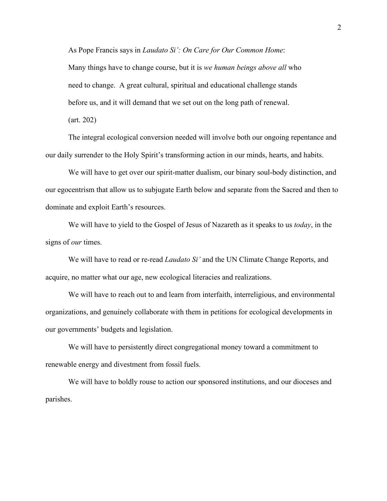As Pope Francis says in *Laudato Si': On Care for Our Common Home*: Many things have to change course, but it is *we human beings above all* who need to change. A great cultural, spiritual and educational challenge stands before us, and it will demand that we set out on the long path of renewal.

(art. 202)

The integral ecological conversion needed will involve both our ongoing repentance and our daily surrender to the Holy Spirit's transforming action in our minds, hearts, and habits.

We will have to get over our spirit-matter dualism, our binary soul-body distinction, and our egocentrism that allow us to subjugate Earth below and separate from the Sacred and then to dominate and exploit Earth's resources.

We will have to yield to the Gospel of Jesus of Nazareth as it speaks to us *today*, in the signs of *our* times.

We will have to read or re-read *Laudato Si'* and the UN Climate Change Reports, and acquire, no matter what our age, new ecological literacies and realizations.

We will have to reach out to and learn from interfaith, interreligious, and environmental organizations, and genuinely collaborate with them in petitions for ecological developments in our governments' budgets and legislation.

We will have to persistently direct congregational money toward a commitment to renewable energy and divestment from fossil fuels.

We will have to boldly rouse to action our sponsored institutions, and our dioceses and parishes.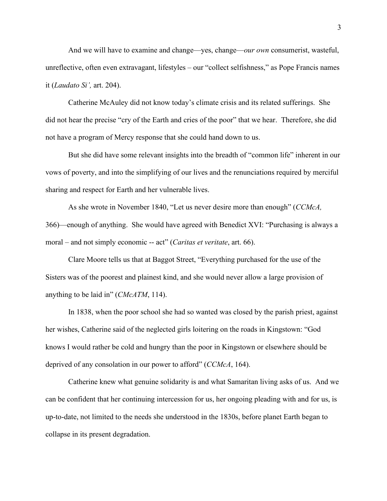And we will have to examine and change—yes, change—*our own* consumerist, wasteful, unreflective, often even extravagant, lifestyles – our "collect selfishness," as Pope Francis names it (*Laudato Si',* art. 204).

Catherine McAuley did not know today's climate crisis and its related sufferings. She did not hear the precise "cry of the Earth and cries of the poor" that we hear. Therefore, she did not have a program of Mercy response that she could hand down to us.

But she did have some relevant insights into the breadth of "common life" inherent in our vows of poverty, and into the simplifying of our lives and the renunciations required by merciful sharing and respect for Earth and her vulnerable lives.

As she wrote in November 1840, "Let us never desire more than enough" (*CCMcA,*  366)—enough of anything. She would have agreed with Benedict XVI: "Purchasing is always a moral – and not simply economic -- act" (*Caritas et veritate*, art. 66).

Clare Moore tells us that at Baggot Street, "Everything purchased for the use of the Sisters was of the poorest and plainest kind, and she would never allow a large provision of anything to be laid in" (*CMcATM*, 114).

In 1838, when the poor school she had so wanted was closed by the parish priest, against her wishes, Catherine said of the neglected girls loitering on the roads in Kingstown: "God knows I would rather be cold and hungry than the poor in Kingstown or elsewhere should be deprived of any consolation in our power to afford" (*CCMcA*, 164).

Catherine knew what genuine solidarity is and what Samaritan living asks of us. And we can be confident that her continuing intercession for us, her ongoing pleading with and for us, is up-to-date, not limited to the needs she understood in the 1830s, before planet Earth began to collapse in its present degradation.